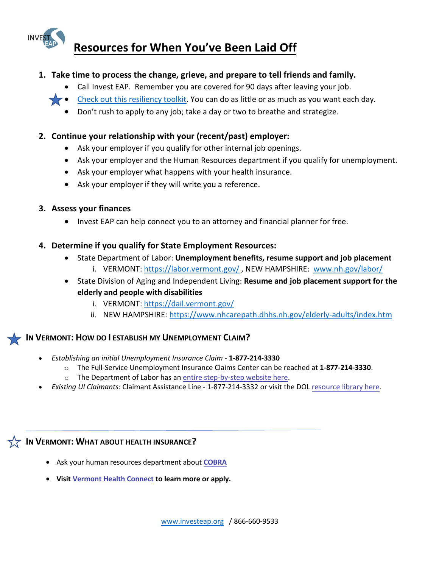# **Resources for When You've Been Laid Off**

# **1. Take time to process the change, grieve, and prepare to tell friends and family.**

- Call Invest EAP. Remember you are covered for 90 days after leaving your job.
- $\blacktriangleright\blacktriangleright$  [Check out this resiliency toolkit.](https://www.helpguide.org/articles/mental-health/building-better-mental-health.htm) You can do as little or as much as you want each day.
	- Don't rush to apply to any job; take a day or two to breathe and strategize.

# **2. Continue your relationship with your (recent/past) employer:**

- Ask your employer if you qualify for other internal job openings.
- Ask your employer and the Human Resources department if you qualify for unemployment.
- Ask your employer what happens with your health insurance.
- Ask your employer if they will write you a reference.

## **3. Assess your finances**

• Invest EAP can help connect you to an attorney and financial planner for free.

## **4. Determine if you qualify for State Employment Resources:**

- State Department of Labor: **Unemployment benefits, resume support and job placement** i. VERMONT: <https://labor.vermont.gov/> , NEW HAMPSHIRE: [www.nh.gov/labor/](http://www.nh.gov/labor/)
- State Division of Aging and Independent Living: **Resume and job placement support for the elderly and people with disabilities**
	- i. VERMONT: <https://dail.vermont.gov/>
	- ii. NEW HAMPSHIRE:<https://www.nhcarepath.dhhs.nh.gov/elderly-adults/index.htm>

# **IN VERMONT: HOW DO I ESTABLISH MY UNEMPLOYMENT CLAIM?**

- *Establishing an initial Unemployment Insurance Claim* **1-877-214-3330**
	- o The Full-Service Unemployment Insurance Claims Center can be reached at **1-877-214-3330**.
	- o The Department of Labor has [an entire step-by-step website here.](https://labor.vermont.gov/StepsForUnemployment)
- *Existing UI Claimants:* Claimant Assistance Line 1-877-214-3332 or visit the DOL [resource library here.](https://labor.vermont.gov/unemployment-insurance)

# **IN VERMONT: WHAT ABOUT HEALTH INSURANCE?**

- Ask your human resources department about **[COBRA](https://www.dol.gov/general/topic/health-plans/cobra)**
- **Visit [Vermont](https://portal.healthconnect.vermont.gov/VTHBELand/welcome.action) Health Connect to learn more or apply.**